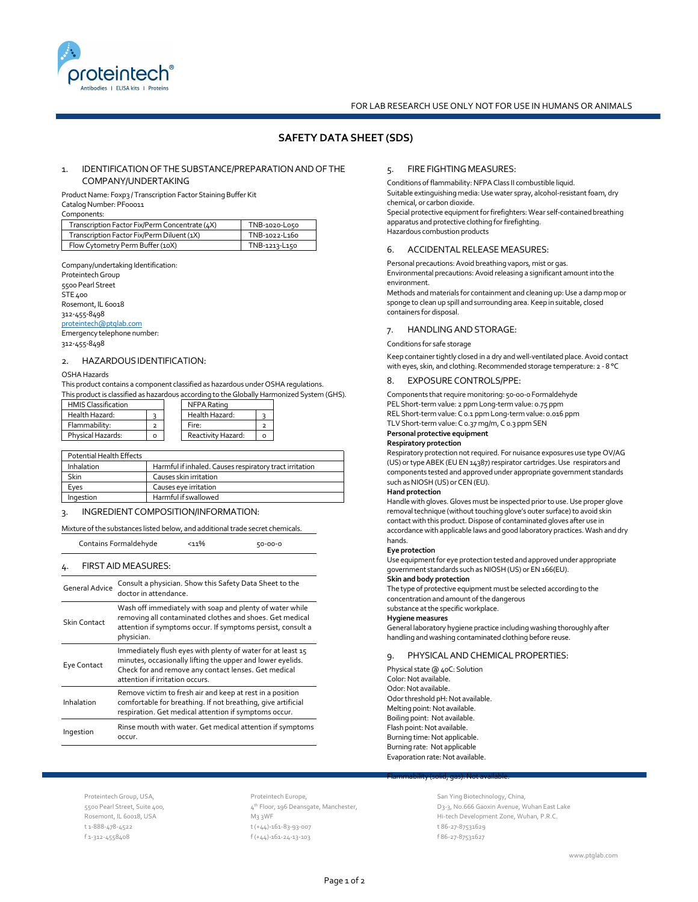

# **SAFETY DATA SHEET (SDS)**

# 1. IDENTIFICATION OF THE SUBSTANCE/PREPARATION AND OF THE 5. COMPANY/UNDERTAKING

Product Name: Foxp3 / Transcription Factor Staining Buffer Kit Catalog Number: PF00011

Components:

| Transcription Factor Fix/Perm Concentrate (4X) | TNB-1020-L050 |
|------------------------------------------------|---------------|
| Transcription Factor Fix/Perm Diluent (1X)     | TNB-1022-L160 |
| Flow Cytometry Perm Buffer (10X)               | TNB-1213-L150 |

Company/undertaking Identification:

| Proteintech Group           |  |
|-----------------------------|--|
| 5500 Pearl Street           |  |
| STE 400                     |  |
| Rosemont, IL 60018          |  |
| 312-455-8498                |  |
| proteintech@ptglab.com      |  |
| Emergency telephone number: |  |
|                             |  |

# 312-455-8498

### 2. HAZARDOUSIDENTIFICATION:

### OSHAHazards

This product contains a component classified as hazardous under OSHA regulations. This product is classified as hazardous according to the Globally Harmonized System (GHS).

| <b>HMIS Classification</b> |  | NFPA Rating        |  |
|----------------------------|--|--------------------|--|
| Health Hazard:             |  | Health Hazard:     |  |
| Flammability:              |  | Fire:              |  |
| Physical Hazards:          |  | Reactivity Hazard: |  |

| Potential Health Effects |                                                         | κt              |
|--------------------------|---------------------------------------------------------|-----------------|
| Inhalation               | Harmful if inhaled. Causes respiratory tract irritation | (U              |
| <b>Skin</b>              | Causes skin irritation                                  | CO              |
| Eves                     | Causes eve irritation                                   | <b>SU</b><br>Ha |
| Ingestion                | Harmful if swallowed                                    | н:              |

### 3. INGREDIENT COMPOSITION/INFORMATION:

### Mixture of the substances listed below, and additional trade secret chemicals.

Contains Formaldehyde <11% 50-00-0

### 4. FIRSTAID MEASURES:

| <b>General Advice</b> | Consult a physician. Show this Safety Data Sheet to the<br>doctor in attendance.                                                                                                                                     |
|-----------------------|----------------------------------------------------------------------------------------------------------------------------------------------------------------------------------------------------------------------|
| Skin Contact          | Wash off immediately with soap and plenty of water while<br>removing all contaminated clothes and shoes. Get medical<br>attention if symptoms occur. If symptoms persist, consult a<br>physician.                    |
| Eye Contact           | Immediately flush eyes with plenty of water for at least 15<br>minutes, occasionally lifting the upper and lower eyelids.<br>Check for and remove any contact lenses. Get medical<br>attention if irritation occurs. |
| Inhalation            | Remove victim to fresh air and keep at rest in a position<br>comfortable for breathing. If not breathing, give artificial<br>respiration. Get medical attention if symptoms occur.                                   |
| Ingestion             | Rinse mouth with water. Get medical attention if symptoms<br>occur.                                                                                                                                                  |

# 5. FIREFIGHTINGMEASURES:

Conditions of flammability: NFPA Class II combustible liquid. Suitable extinguishing media: Use water spray, alcohol-resistant foam, dry chemical, or carbon dioxide.

Special protective equipment for firefighters: Wear self-contained breathing apparatus and protective clothing for firefighting. Hazardous combustion products

### 6. ACCIDENTALRELEASE MEASURES:

Personal precautions:Avoid breathing vapors, mist or gas. Environmental precautions: Avoid releasing a significant amount into the environment. Methods and materials forcontainment and cleaning up:Use a damp mop or sponge to clean up spill and surrounding area. Keep in suitable, closed containers for disposal.

### 7. HANDLINGANDSTORAGE:

#### Conditions forsafe storage

Keep containertightly closed in adry andwell-ventilated place.Avoid contact with eyes, skin, and clothing. Recommended storage temperature: 2 - 8 °C

### 8. EXPOSURE CONTROLS/PPE:

Components that require monitoring: 50-00-0 Formaldehyde PELShort-term value: 2 ppm Long-term value: 0.75 ppm REL Short-term value: C 0.1 ppm Long-term value: 0.016 ppm TLV Short-term value:C 0.37 mg/m, C 0.3 ppm SEN **Personal protective equipment**

# **Respiratory protection**

Respiratory protection not required. For nuisance exposures use type OV/AG (US) or type ABEK (EU EN 14387) respirator cartridges. Use respirators and components tested and approved under appropriate government standards such as NIOSH (US) or CEN (EU).

#### **Hand protection**

Handle with gloves. Gloves must be inspected prior to use. Use proper glove removal technique (without touching glove's outer surface) to avoid skin contact with this product. Dispose of contaminated gloves after use in accordance with applicable laws and good laboratory practices. Wash and dry hands.

### **Eye protection**

Use equipment for eye protection tested and approved under appropriate government standards such as NIOSH (US) or EN 166(EU).

# **Skin and body protection**

The type of protective equipment must be selected according to the concentration and amount of the dangerous

# substance at the specific workplace.

**Hygiene measures**

General laboratory hygiene practice including washing thoroughly after handling andwashing contaminated clothing before reuse.

### 9. PHYSICALANDCHEMICALPROPERTIES:

Physical state @ 40C: Solution Color: Not available. Odor: Not available. Odor threshold pH: Not available. Melting point: Not available. Boiling point: Not available. Flash point: Not available. Burning time: Not applicable. Burning rate: Not applicable Evaporation rate: Not available.

Flammability (solid, gas): Not available.

Proteintech Group, USA, 5500 Pearl Street, Suite 400, Rosemont, IL 60018, USA t 1-888-478-4522 f 1-312-4558408

Proteintech Europe, 4<sup>th</sup> Floor, 196 Deansgate, Manchester, M3 3WF t (+44)-161-83-93-007 f (+44)-161-24-13-103

San Ying Biotechnology, China, D3-3, No.666 Gaoxin Avenue, Wuhan East Lake Hi-tech Development Zone, Wuhan, P.R.C. t 86-27-87531629 f 86-27-87531627